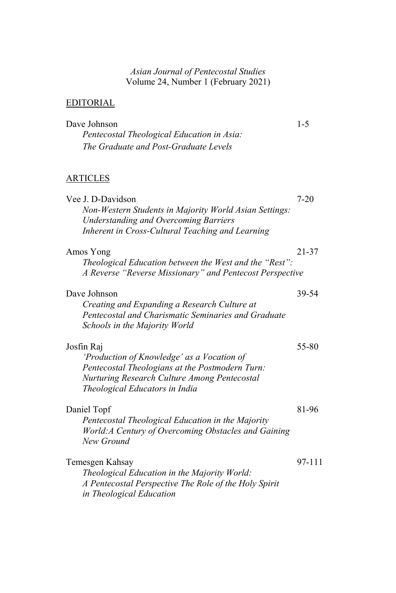## *Asian Journal of Pentecostal Studies*  Volume 24, Number 1 (February 2021)

## EDITORIAL

| Dave Johnson<br>Pentecostal Theological Education in Asia:                                                                                                                                    | $1-5$  |
|-----------------------------------------------------------------------------------------------------------------------------------------------------------------------------------------------|--------|
| The Graduate and Post-Graduate Levels                                                                                                                                                         |        |
| <b>ARTICLES</b>                                                                                                                                                                               |        |
| Vee J. D-Davidson<br>Non-Western Students in Majority World Asian Settings:<br><b>Understanding and Overcoming Barriers</b><br>Inherent in Cross-Cultural Teaching and Learning               | $7-20$ |
| Amos Yong<br>Theological Education between the West and the "Rest":<br>A Reverse "Reverse Missionary" and Pentecost Perspective                                                               | 21-37  |
| Dave Johnson<br>Creating and Expanding a Research Culture at<br>Pentecostal and Charismatic Seminaries and Graduate<br>Schools in the Majority World                                          | 39-54  |
| Josfin Raj<br>'Production of Knowledge' as a Vocation of<br>Pentecostal Theologians at the Postmodern Turn:<br>Nurturing Research Culture Among Pentecostal<br>Theological Educators in India | 55-80  |
| Daniel Topf<br>Pentecostal Theological Education in the Majority<br>World: A Century of Overcoming Obstacles and Gaining<br>New Ground                                                        | 81-96  |
| Temesgen Kahsay                                                                                                                                                                               | 97-111 |

*A Pentecostal Perspective The Role of the Holy Spirit in Theological Education* 

*Theological Education in the Majority World:*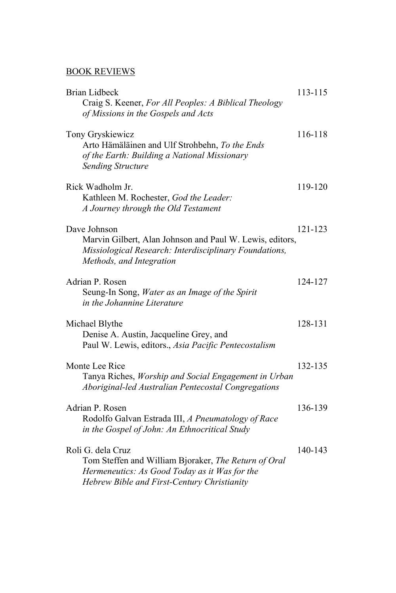## BOOK REVIEWS

| Brian Lidbeck<br>Craig S. Keener, For All Peoples: A Biblical Theology<br>of Missions in the Gospels and Acts                                                             | 113-115     |
|---------------------------------------------------------------------------------------------------------------------------------------------------------------------------|-------------|
| Tony Gryskiewicz<br>Arto Hämäläinen and Ulf Strohbehn, To the Ends<br>of the Earth: Building a National Missionary<br><b>Sending Structure</b>                            | 116-118     |
| Rick Wadholm Jr.<br>Kathleen M. Rochester, God the Leader:<br>A Journey through the Old Testament                                                                         | 119-120     |
| Dave Johnson<br>Marvin Gilbert, Alan Johnson and Paul W. Lewis, editors,<br>Missiological Research: Interdisciplinary Foundations,<br>Methods, and Integration            | 121-123     |
| Adrian P. Rosen<br>Seung-In Song, Water as an Image of the Spirit<br>in the Johannine Literature                                                                          | 124-127     |
| Michael Blythe<br>Denise A. Austin, Jacqueline Grey, and<br>Paul W. Lewis, editors., Asia Pacific Pentecostalism                                                          | 128-131     |
| Monte Lee Rice<br>Tanya Riches, Worship and Social Engagement in Urban<br>Aboriginal-led Australian Pentecostal Congregations                                             | 132-135     |
| Adrian P. Rosen<br>Rodolfo Galvan Estrada III, A Pneumatology of Race<br>in the Gospel of John: An Ethnocritical Study                                                    | 136-139     |
| Roli G. dela Cruz<br>Tom Steffen and William Bjoraker, The Return of Oral<br>Hermeneutics: As Good Today as it Was for the<br>Hebrew Bible and First-Century Christianity | $140 - 143$ |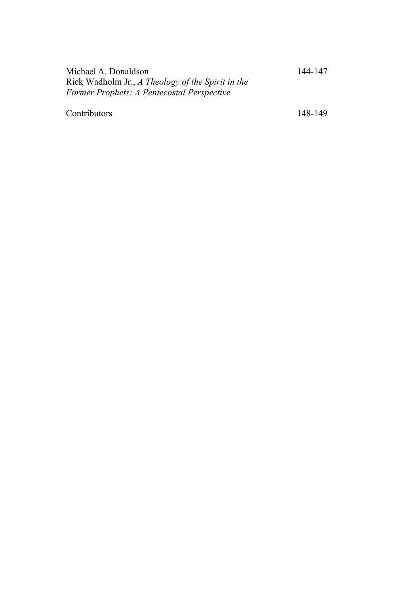| Michael A. Donaldson                              | 144-147 |
|---------------------------------------------------|---------|
| Rick Wadholm Jr., A Theology of the Spirit in the |         |
| Former Prophets: A Pentecostal Perspective        |         |
|                                                   |         |

Contributors 148-149